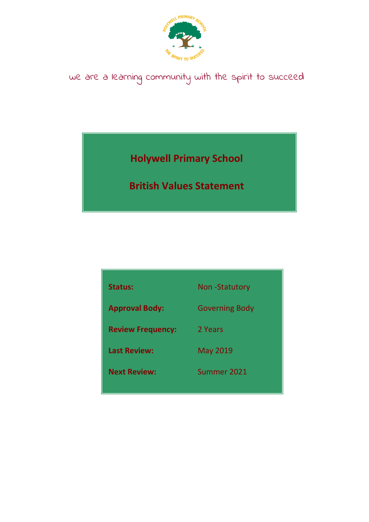

# we are a learning community with the spirit to succeed

**Holywell Primary School** 

**British Values Statement**

| <b>Status:</b>           | <b>Non-Statutory</b>  |
|--------------------------|-----------------------|
| <b>Approval Body:</b>    | <b>Governing Body</b> |
| <b>Review Frequency:</b> | 2 Years               |
| <b>Last Review:</b>      | <b>May 2019</b>       |
| <b>Next Review:</b>      | Summer 2021           |
|                          |                       |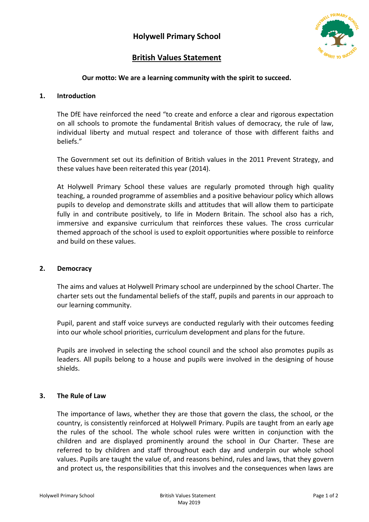

## **British Values Statement**

### **Our motto: We are a learning community with the spirit to succeed.**

#### **1. Introduction**

The DfE have reinforced the need "to create and enforce a clear and rigorous expectation on all schools to promote the fundamental British values of democracy, the rule of law, individual liberty and mutual respect and tolerance of those with different faiths and beliefs."

The Government set out its definition of British values in the 2011 Prevent Strategy, and these values have been reiterated this year (2014).

At Holywell Primary School these values are regularly promoted through high quality teaching, a rounded programme of assemblies and a positive behaviour policy which allows pupils to develop and demonstrate skills and attitudes that will allow them to participate fully in and contribute positively, to life in Modern Britain. The school also has a rich, immersive and expansive curriculum that reinforces these values. The cross curricular themed approach of the school is used to exploit opportunities where possible to reinforce and build on these values.

#### **2. Democracy**

The aims and values at Holywell Primary school are underpinned by the school Charter. The charter sets out the fundamental beliefs of the staff, pupils and parents in our approach to our learning community.

Pupil, parent and staff voice surveys are conducted regularly with their outcomes feeding into our whole school priorities, curriculum development and plans for the future.

Pupils are involved in selecting the school council and the school also promotes pupils as leaders. All pupils belong to a house and pupils were involved in the designing of house shields.

#### **3. The Rule of Law**

The importance of laws, whether they are those that govern the class, the school, or the country, is consistently reinforced at Holywell Primary. Pupils are taught from an early age the rules of the school. The whole school rules were written in conjunction with the children and are displayed prominently around the school in Our Charter. These are referred to by children and staff throughout each day and underpin our whole school values. Pupils are taught the value of, and reasons behind, rules and laws, that they govern and protect us, the responsibilities that this involves and the consequences when laws are